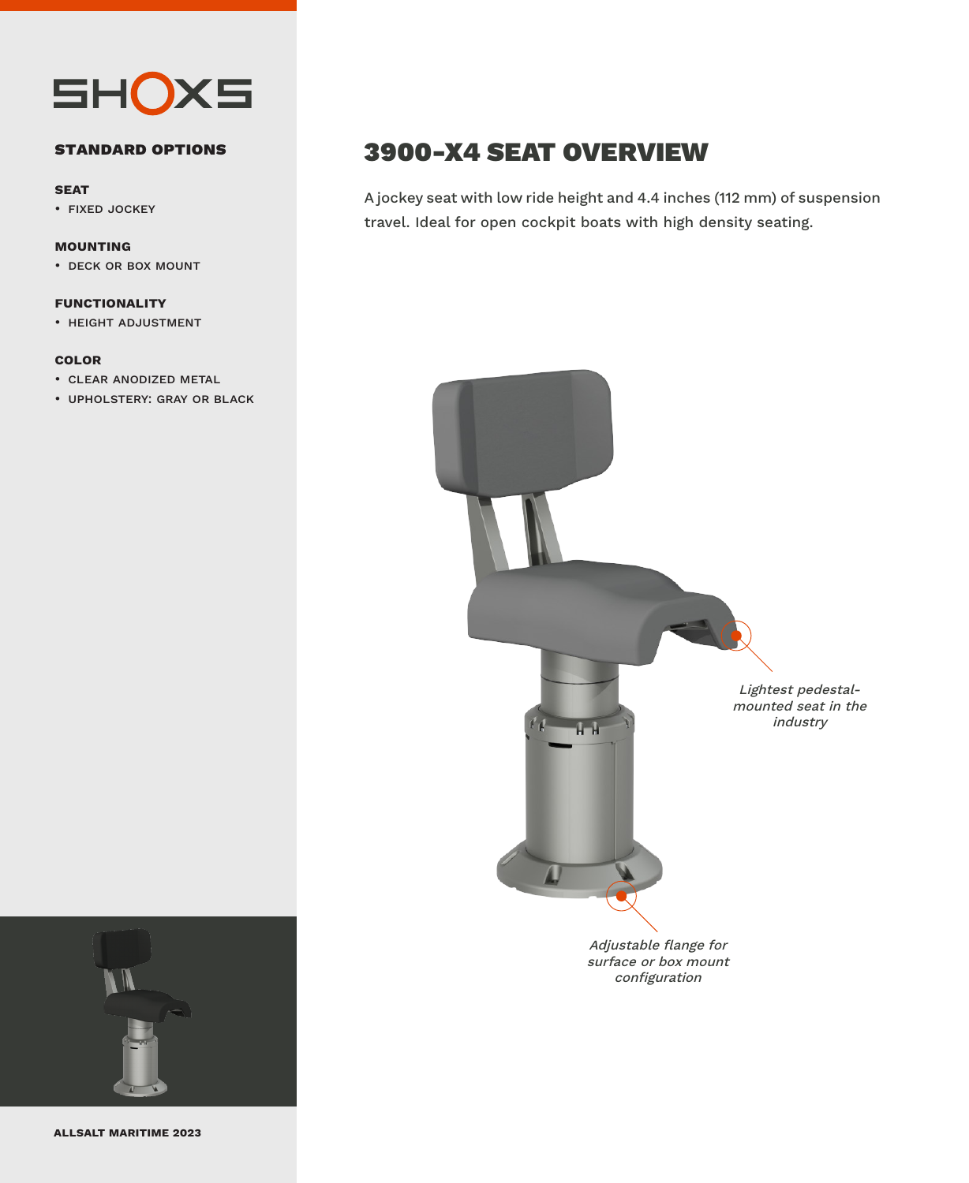

#### **standard options**

#### **seat**

• fixed jockey

#### **mounting**

• deck or box mount

#### **functionality**

• height adjustment

#### **color**

- clear anodized metal
- upholstery: gray or black

## 3900-X4 SEAT OVERVIEW

A jockey seat with low ride height and 4.4 inches (112 mm) of suspension travel. Ideal for open cockpit boats with high density seating.





**allsalt maritime 2023**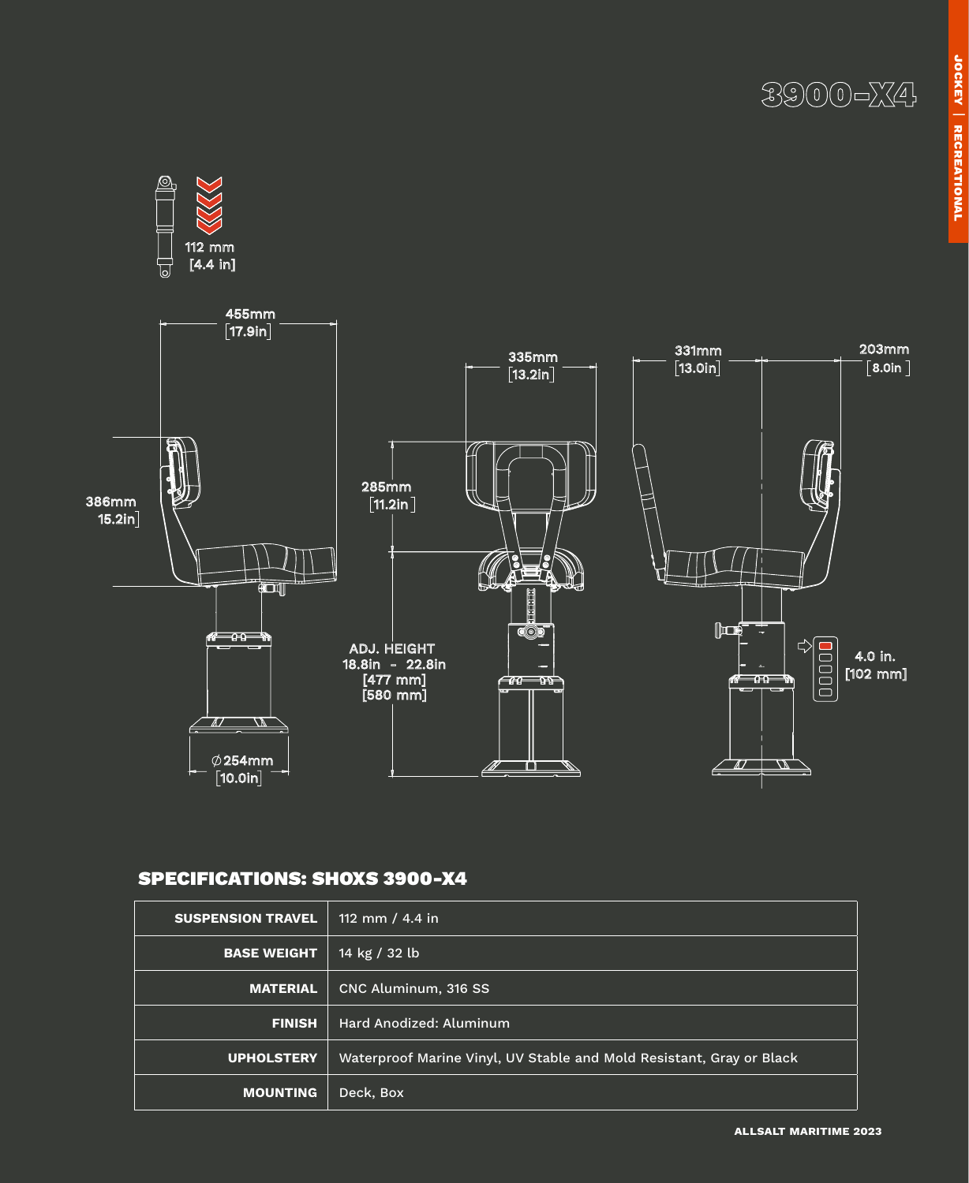3900-X4



### SPECIFICATIONS: SHOXS 3900-X4

| <b>SUSPENSION TRAVEL</b> | 112 mm / 4.4 in                                                      |
|--------------------------|----------------------------------------------------------------------|
| <b>BASE WEIGHT</b>       | 14 kg / 32 lb                                                        |
| <b>MATERIAL</b>          | CNC Aluminum, 316 SS                                                 |
| <b>FINISH</b>            | Hard Anodized: Aluminum                                              |
| <b>UPHOLSTERY</b>        | Waterproof Marine Vinyl, UV Stable and Mold Resistant, Gray or Black |
| <b>MOUNTING</b>          | Deck, Box                                                            |

**allsalt maritime 2023**